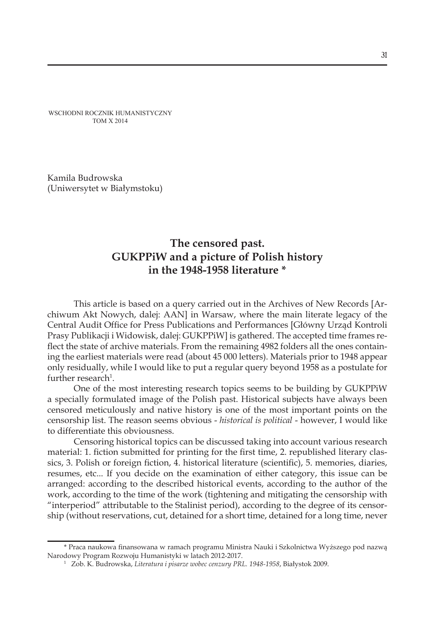WSCHODNI ROCZNIK HUMANISTYCZNY TOM X 2014

Kamila Budrowska (Uniwersytet w Białymstoku)

# **The censored past. GUKPPiW and a picture of Polish history in the 1948-1958 literature \***

This article is based on a query carried out in the Archives of New Records [Archiwum Akt Nowych, dalej: AAN] in Warsaw, where the main literate legacy of the Central Audit Office for Press Publications and Performances [Główny Urząd Kontroli Prasy Publikacji i Widowisk, dalej: GUKPPiW] is gathered. The accepted time frames reflect the state of archive materials. From the remaining 4982 folders all the ones containing the earliest materials were read (about 45 000 letters). Materials prior to 1948 appear only residually, while I would like to put a regular query beyond 1958 as a postulate for further research<sup>1</sup>.

One of the most interesting research topics seems to be building by GUKPPiW a specially formulated image of the Polish past. Historical subjects have always been censored meticulously and native history is one of the most important points on the censorship list. The reason seems obvious - *historical is political* - however, I would like to differentiate this obviousness.

Censoring historical topics can be discussed taking into account various research material: 1. fiction submitted for printing for the first time, 2. republished literary classics, 3. Polish or foreign fiction, 4. historical literature (scientific), 5. memories, diaries, resumes, etc... If you decide on the examination of either category, this issue can be arranged: according to the described historical events, according to the author of the work, according to the time of the work (tightening and mitigating the censorship with "interperiod" attributable to the Stalinist period), according to the degree of its censorship (without reservations, cut, detained for a short time, detained for a long time, never

<sup>\*</sup> Praca naukowa finansowana w ramach programu Ministra Nauki i Szkolnictwa Wyższego pod nazwą Narodowy Program Rozwoju Humanistyki w latach 2012-2017.

<sup>1</sup> Zob. K. Budrowska, *Literatura i pisarze wobec cenzury PRL. 1948-1958*, Białystok 2009.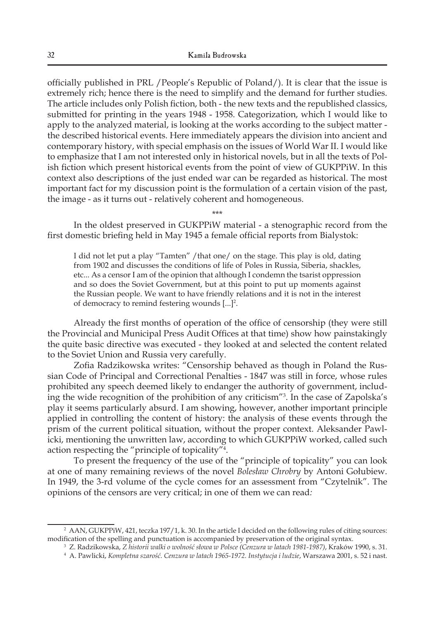officially published in PRL /People's Republic of Poland/). It is clear that the issue is extremely rich; hence there is the need to simplify and the demand for further studies. The article includes only Polish fiction, both - the new texts and the republished classics, submitted for printing in the years 1948 - 1958. Categorization, which I would like to apply to the analyzed material, is looking at the works according to the subject matter the described historical events. Here immediately appears the division into ancient and contemporary history, with special emphasis on the issues of World War II. I would like to emphasize that I am not interested only in historical novels, but in all the texts of Polish fiction which present historical events from the point of view of GUKPPiW. In this context also descriptions of the just ended war can be regarded as historical. The most important fact for my discussion point is the formulation of a certain vision of the past, the image - as it turns out - relatively coherent and homogeneous.

\*\*\*

In the oldest preserved in GUKPPiW material - a stenographic record from the first domestic briefing held in May 1945 a female official reports from Bialystok:

I did not let put a play "Tamten" / that one/ on the stage. This play is old, dating from 1902 and discusses the conditions of life of Poles in Russia, Siberia, shackles, etc... As a censor I am of the opinion that although I condemn the tsarist oppression and so does the Soviet Government, but at this point to put up moments against the Russian people. We want to have friendly relations and it is not in the interest of democracy to remind festering wounds  $[...]^2$ .

Already the first months of operation of the office of censorship (they were still the Provincial and Municipal Press Audit Offices at that time) show how painstakingly the quite basic directive was executed - they looked at and selected the content related to the Soviet Union and Russia very carefully.

Zofia Radzikowska writes: "Censorship behaved as though in Poland the Russian Code of Principal and Correctional Penalties - 1847 was still in force, whose rules prohibited any speech deemed likely to endanger the authority of government, including the wide recognition of the prohibition of any criticism"3 . In the case of Zapolska's play it seems particularly absurd. I am showing, however, another important principle applied in controlling the content of history: the analysis of these events through the prism of the current political situation, without the proper context. Aleksander Pawlicki, mentioning the unwritten law, according to which GUKPPiW worked, called such action respecting the "principle of topicality"4 .

To present the frequency of the use of the "principle of topicality" you can look at one of many remaining reviews of the novel *Bolesław Chrobry* by Antoni Gołubiew. In 1949, the 3-rd volume of the cycle comes for an assessment from "Czytelnik". The opinions of the censors are very critical; in one of them we can read*:*

<sup>2</sup> AAN, GUKPPiW, 421, teczka 197/1, k. 30. In the article I decided on the following rules of citing sources: modification of the spelling and punctuation is accompanied by preservation of the original syntax. 3

Z. Radzikowska, *Z historii walki o wolność słowa w Polsce (Cenzura w latach 1981-1987)*, Kraków 1990, s. 31.

<sup>4</sup> A. Pawlicki, *Kompletna szarość. Cenzura w latach 1965-1972. Instytucja i ludzie*, Warszawa 2001, s. 52 i nast.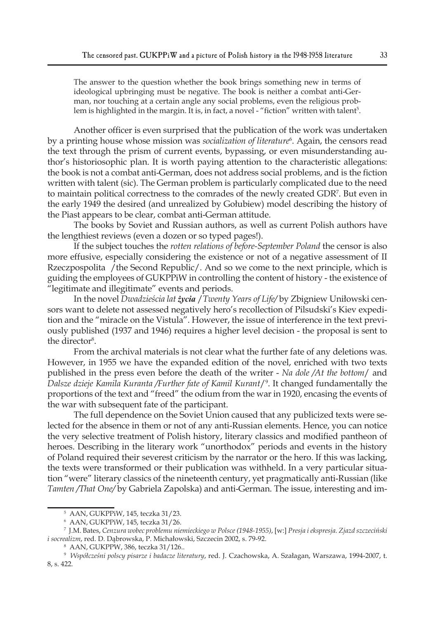The answer to the question whether the book brings something new in terms of ideological upbringing must be negative. The book is neither a combat anti-German, nor touching at a certain angle any social problems, even the religious problem is highlighted in the margin. It is, in fact, a novel - "fiction" written with talent<sup>s</sup>.

Another officer is even surprised that the publication of the work was undertaken by a printing house whose mission was *socialization of literature*<sup>6</sup>. Again, the censors read the text through the prism of current events, bypassing, or even misunderstanding author's historiosophic plan. It is worth paying attention to the characteristic allegations: the book is not a combat anti-German, does not address social problems, and is the fiction written with talent (sic). The German problem is particularly complicated due to the need to maintain political correctness to the comrades of the newly created GDR7 . But even in the early 1949 the desired (and unrealized by Gołubiew) model describing the history of the Piast appears to be clear, combat anti-German attitude.

The books by Soviet and Russian authors, as well as current Polish authors have the lengthiest reviews (even a dozen or so typed pages!).

If the subject touches the *rotten relations of before-September Poland* the censor is also more effusive, especially considering the existence or not of a negative assessment of II Rzeczpospolita /the Second Republic/. And so we come to the next principle, which is guiding the employees of GUKPPiW in controlling the content of history - the existence of "legitimate and illegitimate" events and periods.

In the novel *Dwadzieścia lat życia* /*Twenty Years of Life/* by Zbigniew Uniłowski censors want to delete not assessed negatively hero's recollection of Pilsudski's Kiev expedition and the "miracle on the Vistula". However, the issue of interference in the text previously published (1937 and 1946) requires a higher level decision - the proposal is sent to the director<sup>8</sup>.

From the archival materials is not clear what the further fate of any deletions was. However, in 1955 we have the expanded edition of the novel, enriched with two texts published in the press even before the death of the writer - *Na dole /At the bottom*/ and *Dalsze dzieje Kamila Kuranta /Further fate of Kamil Kurant*/9 . It changed fundamentally the proportions of the text and "freed" the odium from the war in 1920, encasing the events of the war with subsequent fate of the participant.

The full dependence on the Soviet Union caused that any publicized texts were selected for the absence in them or not of any anti-Russian elements. Hence, you can notice the very selective treatment of Polish history, literary classics and modified pantheon of heroes. Describing in the literary work "unorthodox" periods and events in the history of Poland required their severest criticism by the narrator or the hero. If this was lacking, the texts were transformed or their publication was withheld. In a very particular situation "were" literary classics of the nineteenth century, yet pragmatically anti-Russian (like *Tamten /That One/* by Gabriela Zapolska) and anti-German. The issue, interesting and im-

<sup>5</sup> AAN, GUKPPiW, 145, teczka 31/23.

<sup>6</sup> AAN, GUKPPiW, 145, teczka 31/26.

<sup>7</sup> J.M. Bates, *Cenzura wobec problemu niemieckiego w Polsce (1948-1955)*, [w:] *Presja i ekspresja. Zjazd szczeciński i socrealizm*, red. D. Dąbrowska, P. Michałowski, Szczecin 2002, s. 79-92.

<sup>8</sup> AAN, GUKPPW, 386, teczka 31/126..

<sup>9</sup>  *Współcześni polscy pisarze i badacze literatury*, red. J. Czachowska, A. Szałagan, Warszawa, 1994-2007, t. 8, s. 422.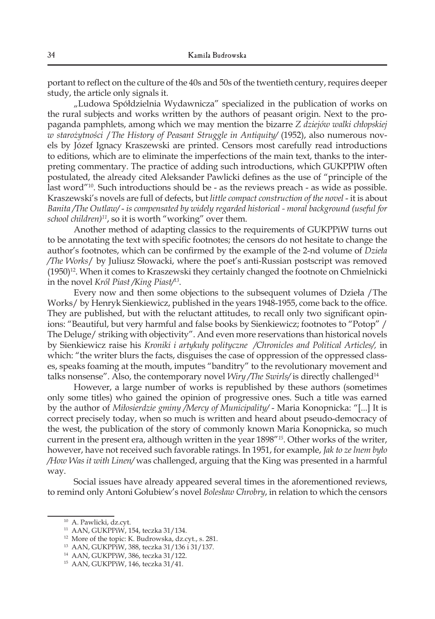portant to reflect on the culture of the 40s and 50s of the twentieth century, requires deeper study, the article only signals it.

"Ludowa Spółdzielnia Wydawnicza" specialized in the publication of works on the rural subjects and works written by the authors of peasant origin. Next to the propaganda pamphlets, among which we may mention the bizarre *Z dziejów walki chłopskiej w starożytności* /*The History of Peasant Struggle in Antiquity/* (1952), also numerous novels by Józef Ignacy Kraszewski are printed. Censors most carefully read introductions to editions, which are to eliminate the imperfections of the main text, thanks to the interpreting commentary. The practice of adding such introductions, which GUKPPIW often postulated, the already cited Aleksander Pawlicki defines as the use of "principle of the last word"<sup>10</sup>. Such introductions should be - as the reviews preach - as wide as possible. Kraszewski's novels are full of defects, but *little compact construction of the novel* - it is about *Banita /The Outlaw/* - *is compensated by widely regarded historical - moral background (useful for school children)11*, so it is worth "working" over them.

Another method of adapting classics to the requirements of GUKPPiW turns out to be annotating the text with specific footnotes; the censors do not hesitate to change the author's footnotes, which can be confirmed by the example of the 2-nd volume of *Dzieła /The Works*/ by Juliusz Słowacki, where the poet's anti-Russian postscript was removed  $(1950)^{12}$ . When it comes to Kraszewski they certainly changed the footnote on Chmielnicki in the novel *Król Piast /King Piast/13*.

Every now and then some objections to the subsequent volumes of Dzieła /The Works/ by Henryk Sienkiewicz, published in the years 1948-1955, come back to the office. They are published, but with the reluctant attitudes, to recall only two significant opinions: "Beautiful, but very harmful and false books by Sienkiewicz; footnotes to "Potop" / The Deluge/ striking with objectivity". And even more reservations than historical novels by Sienkiewicz raise his *Kroniki i artykuły polityczne /Chronicles and Political Articles/,* in which: "the writer blurs the facts, disguises the case of oppression of the oppressed classes, speaks foaming at the mouth, imputes "banditry" to the revolutionary movement and talks nonsense". Also, the contemporary novel *Wiry /The Swirls/* is directly challenged14

However, a large number of works is republished by these authors (sometimes only some titles) who gained the opinion of progressive ones. Such a title was earned by the author of *Miłosierdzie gminy /Mercy of Municipality/* - Maria Konopnicka: "[...] It is correct precisely today, when so much is written and heard about pseudo-democracy of the west, the publication of the story of commonly known Maria Konopnicka, so much current in the present era, although written in the year 1898"*<sup>15</sup>*. Other works of the writer, however, have not received such favorable ratings. In 1951, for example, *Jak to ze lnem było /How Was it with Linen/* was challenged, arguing that the King was presented in a harmful way.

Social issues have already appeared several times in the aforementioned reviews, to remind only Antoni Gołubiew's novel *Bolesław Chrobry*, in relation to which the censors

<sup>10</sup> A. Pawlicki, dz.cyt.

<sup>11</sup> AAN, GUKPPiW, 154, teczka 31/134.

<sup>12</sup> More of the topic: K. Budrowska, dz.cyt., s. 281.

<sup>13</sup> AAN, GUKPPiW, 388, teczka 31/136 i 31/137.

<sup>14</sup> AAN, GUKPPiW, 386, teczka 31/122.

<sup>15</sup> AAN, GUKPPiW, 146, teczka 31/41.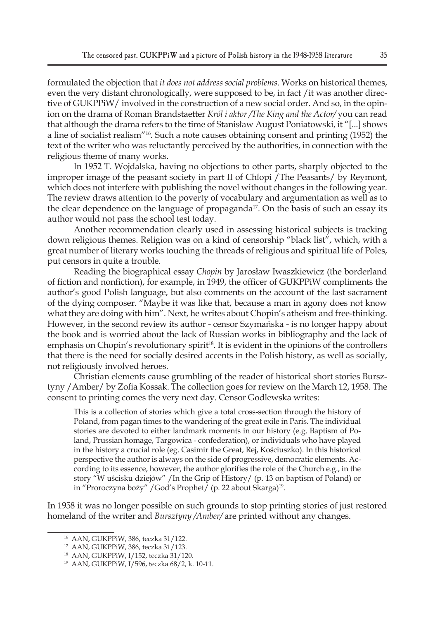formulated the objection that *it does not address social problems*. Works on historical themes, even the very distant chronologically, were supposed to be, in fact /it was another directive of GUKPPiW/ involved in the construction of a new social order. And so, in the opinion on the drama of Roman Brandstaetter *Król i aktor /The King and the Actor/* you can read that although the drama refers to the time of Stanisław August Poniatowski, it "[...] shows a line of socialist realism"<sup>16</sup>*.* Such a note causes obtaining consent and printing (1952) the text of the writer who was reluctantly perceived by the authorities, in connection with the religious theme of many works.

In 1952 T. Wojdalska, having no objections to other parts, sharply objected to the improper image of the peasant society in part II of Chłopi /The Peasants/ by Reymont, which does not interfere with publishing the novel without changes in the following year. The review draws attention to the poverty of vocabulary and argumentation as well as to the clear dependence on the language of propaganda<sup>17</sup>. On the basis of such an essay its author would not pass the school test today.

Another recommendation clearly used in assessing historical subjects is tracking down religious themes. Religion was on a kind of censorship "black list", which, with a great number of literary works touching the threads of religious and spiritual life of Poles, put censors in quite a trouble.

Reading the biographical essay *Chopin* by Jarosław Iwaszkiewicz (the borderland of fiction and nonfiction), for example, in 1949, the officer of GUKPPiW compliments the author's good Polish language, but also comments on the account of the last sacrament of the dying composer. "Maybe it was like that, because a man in agony does not know what they are doing with him". Next, he writes about Chopin's atheism and free-thinking. However, in the second review its author - censor Szymańska - is no longer happy about the book and is worried about the lack of Russian works in bibliography and the lack of emphasis on Chopin's revolutionary spirit<sup>18</sup>. It is evident in the opinions of the controllers that there is the need for socially desired accents in the Polish history, as well as socially, not religiously involved heroes.

Christian elements cause grumbling of the reader of historical short stories Bursztyny /Amber/ by Zofia Kossak. The collection goes for review on the March 12, 1958. The consent to printing comes the very next day. Censor Godlewska writes:

This is a collection of stories which give a total cross-section through the history of Poland, from pagan times to the wandering of the great exile in Paris. The individual stories are devoted to either landmark moments in our history (e.g. Baptism of Poland, Prussian homage, Targowica - confederation), or individuals who have played in the history a crucial role (eg. Casimir the Great, Rej, Kościuszko). In this historical perspective the author is always on the side of progressive, democratic elements. According to its essence, however, the author glorifies the role of the Church e.g., in the story "W uścisku dziejów" /In the Grip of History/ (p. 13 on baptism of Poland) or in "Proroczyna boży" /God's Prophet/ (p. 22 about Skarga)<sup>19</sup>.

In 1958 it was no longer possible on such grounds to stop printing stories of just restored homeland of the writer and *Bursztyny /Amber/* are printed without any changes.

<sup>16</sup> AAN, GUKPPiW, 386, teczka 31/122.

<sup>17</sup> AAN, GUKPPiW, 386, teczka 31/123.

<sup>18</sup> AAN, GUKPPiW, I/152, teczka 31/120.

<sup>19</sup> AAN, GUKPPiW, I/596, teczka 68/2, k. 10-11.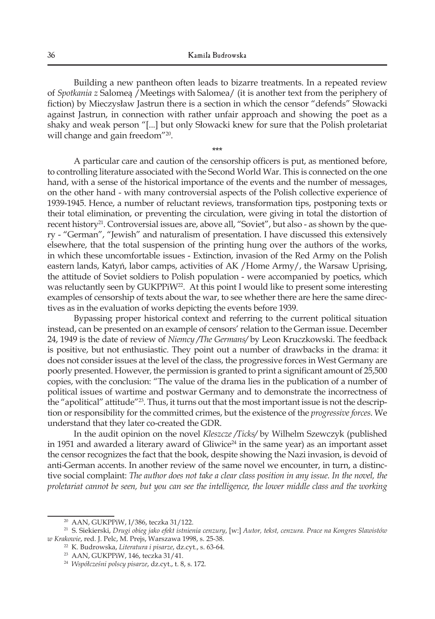Building a new pantheon often leads to bizarre treatments. In a repeated review of *Spotkania z* Salomeą /Meetings with Salomea/ (it is another text from the periphery of fiction) by Mieczysław Jastrun there is a section in which the censor "defends" Słowacki against Jastrun, in connection with rather unfair approach and showing the poet as a shaky and weak person "[...] but only Słowacki knew for sure that the Polish proletariat will change and gain freedom"<sup>20</sup>.

\*\*\*

A particular care and caution of the censorship officers is put, as mentioned before, to controlling literature associated with the Second World War. This is connected on the one hand, with a sense of the historical importance of the events and the number of messages, on the other hand - with many controversial aspects of the Polish collective experience of 1939-1945. Hence, a number of reluctant reviews, transformation tips, postponing texts or their total elimination, or preventing the circulation, were giving in total the distortion of recent history<sup>21</sup>. Controversial issues are, above all, "Soviet", but also - as shown by the query - "German", "Jewish" and naturalism of presentation. I have discussed this extensively elsewhere, that the total suspension of the printing hung over the authors of the works, in which these uncomfortable issues - Extinction, invasion of the Red Army on the Polish eastern lands, Katyń, labor camps, activities of AK /Home Army/, the Warsaw Uprising, the attitude of Soviet soldiers to Polish population - were accompanied by poetics, which was reluctantly seen by GUKPPiW<sup>22</sup>. At this point I would like to present some interesting examples of censorship of texts about the war, to see whether there are here the same directives as in the evaluation of works depicting the events before 1939.

Bypassing proper historical context and referring to the current political situation instead, can be presented on an example of censors' relation to the German issue. December 24, 1949 is the date of review of *Niemcy /The Germans/* by Leon Kruczkowski. The feedback is positive, but not enthusiastic. They point out a number of drawbacks in the drama: it does not consider issues at the level of the class, the progressive forces in West Germany are poorly presented. However, the permission is granted to print a significant amount of 25,500 copies, with the conclusion: "The value of the drama lies in the publication of a number of political issues of wartime and postwar Germany and to demonstrate the incorrectness of the "apolitical" attitude"23*.* Thus, it turns out that the most important issue is not the description or responsibility for the committed crimes, but the existence of the *progressive forces*. We understand that they later co-created the GDR.

In the audit opinion on the novel *Kleszcze /Ticks/* by Wilhelm Szewczyk (published in 1951 and awarded a literary award of Gliwice<sup>24</sup> in the same year) as an important asset the censor recognizes the fact that the book, despite showing the Nazi invasion, is devoid of anti-German accents. In another review of the same novel we encounter, in turn, a distinctive social complaint: *The author does not take a clear class position in any issue. In the novel, the proletariat cannot be seen, but you can see the intelligence, the lower middle class and the working* 

<sup>20</sup> AAN, GUKPPiW, I/386, teczka 31/122.

<sup>21</sup> S. Siekierski, *Drugi obieg jako efekt istnienia cenzury*, [w:] *Autor, tekst, cenzura. Prace na Kongres Slawistów w Krakowie*, red. J. Pelc, M. Prejs, Warszawa 1998, s. 25-38.

<sup>22</sup> K. Budrowska, *Literatura i pisarze*, dz.cyt., s. 63-64.

<sup>23</sup> AAN, GUKPPiW, 146, teczka 31/41.

<sup>24</sup> *Współcześni polscy pisarze*, dz.cyt., t. 8, s. 172.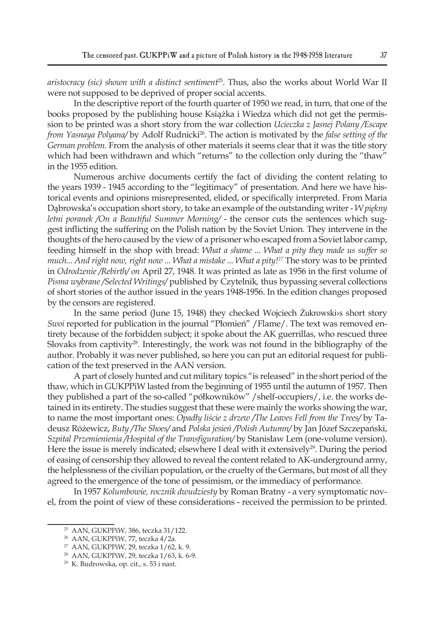*aristocracy (sic) shown with a distinct sentiment*25. Thus, also the works about World War II were not supposed to be deprived of proper social accents.

In the descriptive report of the fourth quarter of 1950 we read, in turn, that one of the books proposed by the publishing house Książka i Wiedza which did not get the permission to be printed was a short story from the war collection *Ucieczka z Jasnej Polany /Escape from Yasnaya Polyana*/ by Adolf Rudnicki<sup>26</sup>. The action is motivated by the *false setting of the German problem.* From the analysis of other materials it seems clear that it was the title story which had been withdrawn and which "returns" to the collection only during the "thaw" in the 1955 edition.

Numerous archive documents certify the fact of dividing the content relating to the years 1939 - 1945 according to the "legitimacy" of presentation. And here we have historical events and opinions misrepresented, elided, or specifically interpreted. From Maria Dąbrowska's occupation short story, to take an example of the outstanding writer - *W piękny letni poranek /On a Beautiful Summer Morning/* - the censor cuts the sentences which suggest inflicting the suffering on the Polish nation by the Soviet Union. They intervene in the thoughts of the hero caused by the view of a prisoner who escaped from a Soviet labor camp, feeding himself in the shop with bread: *What a shame ... What a pity they made us suffer so much... And right now, right now ... What a mistake ... What a pity!27* The story was to be printed in *Odrodzenie /Rebirth/ on* April 27, 1948. It was printed as late as 1956 in the first volume of *Pisma wybrane /Selected Writings/* published by Czytelnik*,* thus bypassing several collections of short stories of the author issued in the years 1948-1956. In the edition changes proposed by the censors are registered.

In the same period (June 15, 1948) they checked Wojciech Żukrowski›s short story *Swoi* reported for publication in the journal "Płomień" /Flame/. The text was removed entirety because of the forbidden subject; it spoke about the AK guerrillas, who rescued three Slovaks from captivity<sup>28</sup>. Interestingly, the work was not found in the bibliography of the author. Probably it was never published, so here you can put an editorial request for publication of the text preserved in the AAN version.

A part of closely hunted and cut military topics "is released" in the short period of the thaw, which in GUKPPiW lasted from the beginning of 1955 until the autumn of 1957. Then they published a part of the so-called "półkowników" /shelf-occupiers/, i.e. the works detained in its entirety. The studies suggest that these were mainly the works showing the war, to name the most important ones: *Opadły liście z drzew /The Leaves Fell from the Trees/* by Tadeusz Różewicz, *Buty /The Shoes/* and *Polska jesień /Polish Autumn/* by Jan Józef Szczepański, *Szpital Przemienienia /Hospital of the Transfiguration/* by Stanisław Lem (one-volume version). Here the issue is merely indicated; elsewhere I deal with it extensively<sup>29</sup>. During the period of easing of censorship they allowed to reveal the content related to AK-underground army, the helplessness of the civilian population, or the cruelty of the Germans, but most of all they agreed to the emergence of the tone of pessimism, or the immediacy of performance.

In 1957 *Kolumbowie, rocznik dwudziesty* by Roman Bratny - a very symptomatic novel, from the point of view of these considerations - received the permission to be printed.

<sup>25</sup> AAN, GUKPPiW, 386, teczka 31/122.

<sup>26</sup> AAN, GUKPPiW, 77, teczka 4/2a.

<sup>27</sup> AAN, GUKPPiW, 29, teczka 1/62, k. 9.

<sup>28</sup> AAN, GUKPPiW, 29, teczka 1/63, k. 6-9.

<sup>29</sup> K. Budrowska, op. cit., s. 53 i nast.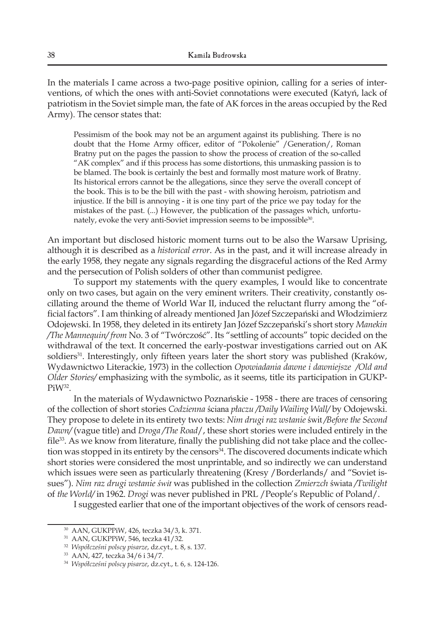In the materials I came across a two-page positive opinion, calling for a series of interventions, of which the ones with anti-Soviet connotations were executed (Katyń, lack of patriotism in the Soviet simple man, the fate of AK forces in the areas occupied by the Red Army). The censor states that:

Pessimism of the book may not be an argument against its publishing. There is no doubt that the Home Army officer, editor of "Pokolenie" /Generation/, Roman Bratny put on the pages the passion to show the process of creation of the so-called "AK complex" and if this process has some distortions, this unmasking passion is to be blamed. The book is certainly the best and formally most mature work of Bratny. Its historical errors cannot be the allegations, since they serve the overall concept of the book. This is to be the bill with the past - with showing heroism, patriotism and injustice. If the bill is annoying - it is one tiny part of the price we pay today for the mistakes of the past. (...) However, the publication of the passages which, unfortunately, evoke the very anti-Soviet impression seems to be impossible<sup>30</sup>.

An important but disclosed historic moment turns out to be also the Warsaw Uprising, although it is described as a *historical error*. As in the past, and it will increase already in the early 1958, they negate any signals regarding the disgraceful actions of the Red Army and the persecution of Polish solders of other than communist pedigree.

To support my statements with the query examples, I would like to concentrate only on two cases, but again on the very eminent writers. Their creativity, constantly oscillating around the theme of World War II, induced the reluctant flurry among the "official factors". I am thinking of already mentioned Jan Józef Szczepański and Włodzimierz Odojewski. In 1958, they deleted in its entirety Jan Józef Szczepański's short story *Manekin /The Mannequin/ from* No. 3 of "Twórczość". Its "settling of accounts" topic decided on the withdrawal of the text. It concerned the early-postwar investigations carried out on AK soldiers<sup>31</sup>. Interestingly, only fifteen years later the short story was published (Kraków, Wydawnictwo Literackie, 1973) in the collection *Opowiadania dawne i dawniejsze /Old and Older Stories/* emphasizing with the symbolic, as it seems, title its participation in GUKP-PiW<sup>32</sup>.

In the materials of Wydawnictwo Poznańskie - 1958 - there are traces of censoring of the collection of short stories *Codzienna* ściana *płaczu /Daily Wailing Wall/* by Odojewski. They propose to delete in its entirety two texts: *Nim drugi raz wstanie* świt */Before the Second Dawn/* (vague title) and *Droga /The Road*/, these short stories were included entirely in the file<sup>33</sup>. As we know from literature, finally the publishing did not take place and the collection was stopped in its entirety by the censors<sup>34</sup>. The discovered documents indicate which short stories were considered the most unprintable, and so indirectly we can understand which issues were seen as particularly threatening (Kresy /Borderlands/ and "Soviet issues"). *Nim raz drugi wstanie świt* was published in the collection *Zmierzch* świata */Twilight*  of *the World/* in 1962. *Drogi* was never published in PRL /People's Republic of Poland/.

I suggested earlier that one of the important objectives of the work of censors read-

<sup>30</sup> AAN, GUKPPiW, 426, teczka 34/3, k. 371.

<sup>31</sup> AAN, GUKPPiW, 546, teczka 41/32.

<sup>32</sup> *Współcześni polscy pisarze*, dz.cyt., t. 8, s. 137.

<sup>33</sup> AAN, 427, teczka 34/6 i 34/7.

<sup>34</sup> *Współcześni polscy pisarze*, dz.cyt., t. 6, s. 124-126.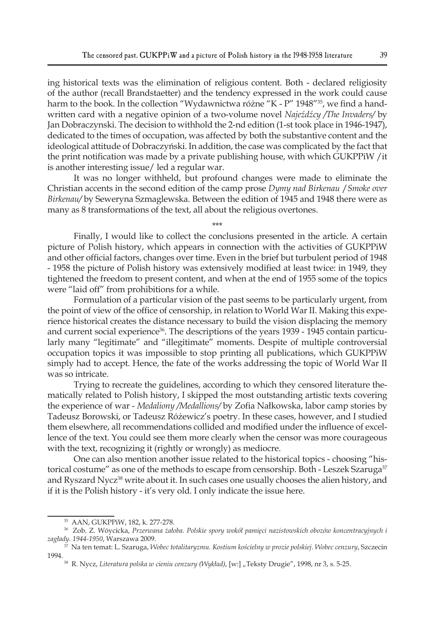ing historical texts was the elimination of religious content. Both - declared religiosity of the author (recall Brandstaetter) and the tendency expressed in the work could cause harm to the book. In the collection "Wydawnictwa różne "K - P" 1948"<sup>35</sup>, we find a handwritten card with a negative opinion of a two-volume novel *Najeźdźcy /The Invaders/* by Jan Dobraczynski. The decision to withhold the 2-nd edition (1-st took place in 1946-1947), dedicated to the times of occupation, was affected by both the substantive content and the ideological attitude of Dobraczyński. In addition, the case was complicated by the fact that the print notification was made by a private publishing house, with which GUKPPiW /it is another interesting issue/ led a regular war.

It was no longer withheld, but profound changes were made to eliminate the Christian accents in the second edition of the camp prose *Dymy nad Birkenau* /*Smoke over Birkenau/* by Seweryna Szmaglewska. Between the edition of 1945 and 1948 there were as many as 8 transformations of the text, all about the religious overtones.

\*\*\*

Finally, I would like to collect the conclusions presented in the article. A certain picture of Polish history, which appears in connection with the activities of GUKPPiW and other official factors, changes over time. Even in the brief but turbulent period of 1948 - 1958 the picture of Polish history was extensively modified at least twice: in 1949, they tightened the freedom to present content, and when at the end of 1955 some of the topics were "laid off" from prohibitions for a while.

Formulation of a particular vision of the past seems to be particularly urgent, from the point of view of the office of censorship, in relation to World War II. Making this experience historical creates the distance necessary to build the vision displacing the memory and current social experience<sup>36</sup>. The descriptions of the years 1939 - 1945 contain particularly many "legitimate" and "illegitimate" moments. Despite of multiple controversial occupation topics it was impossible to stop printing all publications, which GUKPPiW simply had to accept. Hence, the fate of the works addressing the topic of World War II was so intricate.

Trying to recreate the guidelines, according to which they censored literature thematically related to Polish history, I skipped the most outstanding artistic texts covering the experience of war - *Medaliony /Medallions/* by Zofia Nałkowska, labor camp stories by Tadeusz Borowski, or Tadeusz Różewicz's poetry. In these cases, however, and I studied them elsewhere, all recommendations collided and modified under the influence of excellence of the text. You could see them more clearly when the censor was more courageous with the text, recognizing it (rightly or wrongly) as mediocre.

One can also mention another issue related to the historical topics - choosing "historical costume" as one of the methods to escape from censorship. Both - Leszek Szaruga<sup>37</sup> and Ryszard Nycz<sup>38</sup> write about it. In such cases one usually chooses the alien history, and if it is the Polish history - it's very old. I only indicate the issue here.

<sup>35</sup> AAN, GUKPPiW, 182, k. 277-278.

<sup>36</sup> Zob. Z. Wóycicka, *Przerwana żałoba. Polskie spory wokół pamięci nazistowskich obozów koncentracyjnych i zagłady. 1944-1950*, Warszawa 2009.

<sup>37</sup> Na ten temat: L. Szaruga, *Wobec totalitaryzmu. Kostium kościelny w prozie polskiej. Wobec cenzury*, Szczecin 1994.

<sup>38</sup> R. Nycz, *Literatura polska w cieniu cenzury (Wykład)*, [w:] "Teksty Drugie", 1998, nr 3, s. 5-25.